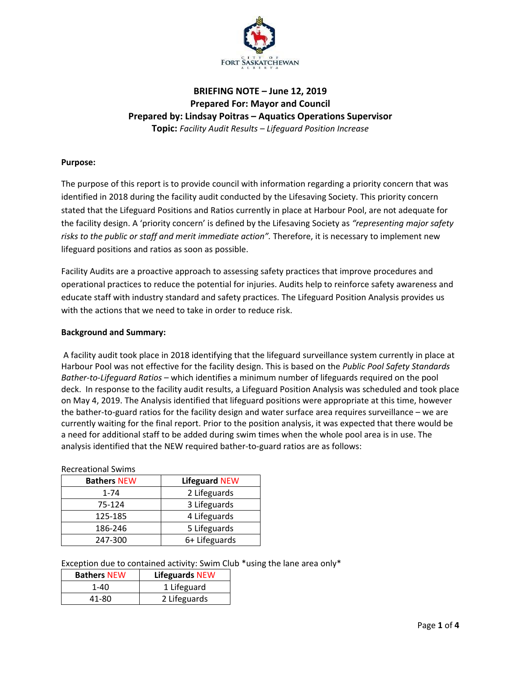

# **BRIEFING NOTE – June 12, 2019 Prepared For: Mayor and Council Prepared by: Lindsay Poitras – Aquatics Operations Supervisor Topic:** *Facility Audit Results – Lifeguard Position Increase*

## **Purpose:**

The purpose of this report is to provide council with information regarding a priority concern that was identified in 2018 during the facility audit conducted by the Lifesaving Society. This priority concern stated that the Lifeguard Positions and Ratios currently in place at Harbour Pool, are not adequate for the facility design. A 'priority concern' is defined by the Lifesaving Society as *"representing major safety risks to the public or staff and merit immediate action".* Therefore, it is necessary to implement new lifeguard positions and ratios as soon as possible.

Facility Audits are a proactive approach to assessing safety practices that improve procedures and operational practices to reduce the potential for injuries. Audits help to reinforce safety awareness and educate staff with industry standard and safety practices. The Lifeguard Position Analysis provides us with the actions that we need to take in order to reduce risk.

#### **Background and Summary:**

A facility audit took place in 2018 identifying that the lifeguard surveillance system currently in place at Harbour Pool was not effective for the facility design. This is based on the *Public Pool Safety Standards Bather-to-Lifeguard Ratios* – which identifies a minimum number of lifeguards required on the pool deck. In response to the facility audit results, a Lifeguard Position Analysis was scheduled and took place on May 4, 2019. The Analysis identified that lifeguard positions were appropriate at this time, however the bather-to-guard ratios for the facility design and water surface area requires surveillance – we are currently waiting for the final report. Prior to the position analysis, it was expected that there would be a need for additional staff to be added during swim times when the whole pool area is in use. The analysis identified that the NEW required bather-to-guard ratios are as follows:

| <b>INCULCALIONU JWIND</b> |                      |  |  |  |
|---------------------------|----------------------|--|--|--|
| <b>Bathers NEW</b>        | <b>Lifeguard NEW</b> |  |  |  |
| $1 - 74$                  | 2 Lifeguards         |  |  |  |
| 75-124                    | 3 Lifeguards         |  |  |  |
| 125-185                   | 4 Lifeguards         |  |  |  |
| 186-246                   | 5 Lifeguards         |  |  |  |
| 247-300                   | 6+ Lifeguards        |  |  |  |

#### Recreational Swims

Exception due to contained activity: Swim Club \*using the lane area only\*

| <b>Bathers NEW</b> | <b>Lifeguards NEW</b> |  |  |  |
|--------------------|-----------------------|--|--|--|
| 1-40               | 1 Lifeguard           |  |  |  |
| 41-80              | 2 Lifeguards          |  |  |  |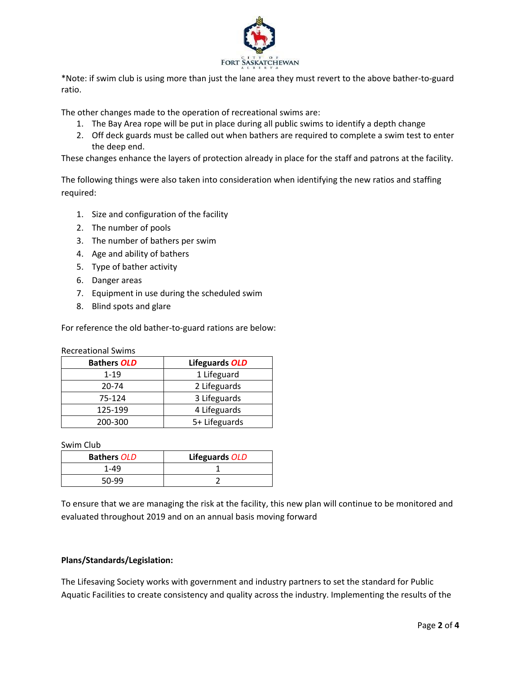

\*Note: if swim club is using more than just the lane area they must revert to the above bather-to-guard ratio.

The other changes made to the operation of recreational swims are:

- 1. The Bay Area rope will be put in place during all public swims to identify a depth change
- 2. Off deck guards must be called out when bathers are required to complete a swim test to enter the deep end.

These changes enhance the layers of protection already in place for the staff and patrons at the facility.

The following things were also taken into consideration when identifying the new ratios and staffing required:

- 1. Size and configuration of the facility
- 2. The number of pools
- 3. The number of bathers per swim
- 4. Age and ability of bathers
- 5. Type of bather activity
- 6. Danger areas
- 7. Equipment in use during the scheduled swim
- 8. Blind spots and glare

For reference the old bather-to-guard rations are below:

Recreational Swims

| <b>Bathers OLD</b> | Lifeguards OLD |  |  |
|--------------------|----------------|--|--|
| $1 - 19$           | 1 Lifeguard    |  |  |
| 20-74              | 2 Lifeguards   |  |  |
| 75-124             | 3 Lifeguards   |  |  |
| 125-199            | 4 Lifeguards   |  |  |
| 200-300            | 5+ Lifeguards  |  |  |

Swim Club

| <b>Bathers OLD</b> | Lifeguards OLD |  |  |
|--------------------|----------------|--|--|
| 1-49               |                |  |  |
| 50-99              |                |  |  |

To ensure that we are managing the risk at the facility, this new plan will continue to be monitored and evaluated throughout 2019 and on an annual basis moving forward

## **Plans/Standards/Legislation:**

The Lifesaving Society works with government and industry partners to set the standard for Public Aquatic Facilities to create consistency and quality across the industry. Implementing the results of the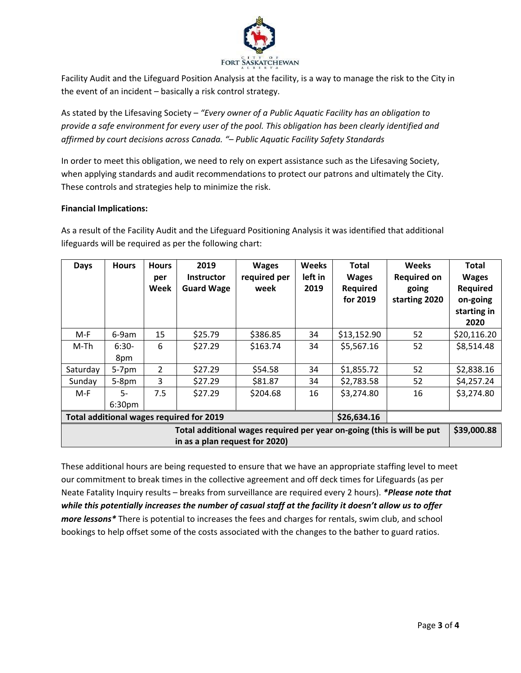

Facility Audit and the Lifeguard Position Analysis at the facility, is a way to manage the risk to the City in the event of an incident – basically a risk control strategy.

As stated by the Lifesaving Society – *"Every owner of a Public Aquatic Facility has an obligation to provide a safe environment for every user of the pool. This obligation has been clearly identified and affirmed by court decisions across Canada. "– Public Aquatic Facility Safety Standards*

In order to meet this obligation, we need to rely on expert assistance such as the Lifesaving Society, when applying standards and audit recommendations to protect our patrons and ultimately the City. These controls and strategies help to minimize the risk.

#### **Financial Implications:**

As a result of the Facility Audit and the Lifeguard Positioning Analysis it was identified that additional lifeguards will be required as per the following chart:

| <b>Days</b>                                                                                              | <b>Hours</b>               | <b>Hours</b><br>per<br>Week | 2019<br><b>Instructor</b><br><b>Guard Wage</b> | <b>Wages</b><br>required per<br>week | <b>Weeks</b><br>left in<br>2019 | <b>Total</b><br><b>Wages</b><br><b>Required</b><br>for 2019 | <b>Weeks</b><br><b>Required on</b><br>going<br>starting 2020 | Total<br><b>Wages</b><br>Required<br>on-going<br>starting in<br>2020 |
|----------------------------------------------------------------------------------------------------------|----------------------------|-----------------------------|------------------------------------------------|--------------------------------------|---------------------------------|-------------------------------------------------------------|--------------------------------------------------------------|----------------------------------------------------------------------|
| M-F                                                                                                      | 6-9am                      | 15                          | \$25.79                                        | \$386.85                             | 34                              | \$13,152.90                                                 | 52                                                           | \$20,116.20                                                          |
| M-Th                                                                                                     | $6:30-$<br>8pm             | 6                           | \$27.29                                        | \$163.74                             | 34                              | \$5,567.16                                                  | 52                                                           | \$8,514.48                                                           |
| Saturday                                                                                                 | $5-7$ pm                   | $\overline{2}$              | \$27.29                                        | \$54.58                              | 34                              | \$1,855.72                                                  | 52                                                           | \$2,838.16                                                           |
| Sunday                                                                                                   | $5-8$ pm                   | 3                           | \$27.29                                        | \$81.87                              | 34                              | \$2,783.58                                                  | 52                                                           | \$4,257.24                                                           |
| M-F                                                                                                      | $5-$<br>6:30 <sub>pm</sub> | 7.5                         | \$27.29                                        | \$204.68                             | 16                              | \$3,274.80                                                  | 16                                                           | \$3,274.80                                                           |
| Total additional wages required for 2019<br>\$26,634.16                                                  |                            |                             |                                                |                                      |                                 |                                                             |                                                              |                                                                      |
| Total additional wages required per year on-going (this is will be put<br>in as a plan request for 2020) |                            |                             |                                                |                                      |                                 |                                                             | \$39,000.88                                                  |                                                                      |

These additional hours are being requested to ensure that we have an appropriate staffing level to meet our commitment to break times in the collective agreement and off deck times for Lifeguards (as per Neate Fatality Inquiry results – breaks from surveillance are required every 2 hours). *\*Please note that while this potentially increases the number of casual staff at the facility it doesn't allow us to offer more lessons\** There is potential to increases the fees and charges for rentals, swim club, and school bookings to help offset some of the costs associated with the changes to the bather to guard ratios.